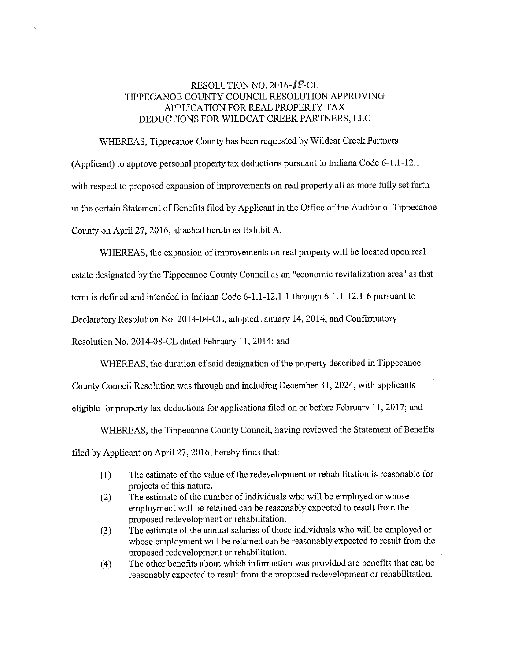### RESOLUTION NO. 2016-18-CL TlPPECANOE COUNTY COUNCIL RESOLUTION APPROVING APPLICATION FOR REAL PROPERTY TAX DEDUCTIONS FOR WILDCAT CREEK PARTNERS, LLC

WHEREAS, Tippecanoe County has been requested by Wildcat Creek Partners (Applicant) to approve persona<sup>l</sup> property tax deductions pursuant to Indiana Code 6—1 .1—12.l with respect to proposed expansion of improvements on real property all as more fully set forth in the certain Statement of Benefits filed by Applicant in the Office of the Auditor of Tippecanoe County on April <sup>27</sup>, 2016, attached hereto as Exhibit A.

WHEREAS, the expansion of improvements on real property will be located upon real estate designated by the Tippecanoe County Council as an "economic revitalization area" as that term is defined and intended in Indiana Code 6-1.1-12.1-1 through 6-1.1-12.1-6 pursuant to Declaratory Resolution No. 2014—04—CL, adopted January 14,2014, and Confirmatory Resolution No. 2014—08-CL dated February 11,2014; and

WHEREAS, the duration of said designation of the property described in Tippecanoe County Council Resolution was through and including December 31, 2024, with applicants eligible for property tax deductions for applications filed on or before February 11, 2017; and

WHEREAS, the Tippecanoe County Council, having reviewed the Statement of Benefits filed by Applicant on April27, 2016, hereby finds that:

- (1) The estimate of the value of the redevelopment or rehabilitation is reasonable for projects of this nature.
- (2) The estimate of the number of individuals who will be employed or whose employment will be retained can be reasonably expected to result from the proposed redevelopment or rehabilitation.
- (3) The estimate of the annual salaries of those individuals who will be employed or whose employment will be retained can be reasonably expected to result from the proposed redevelopment or rehabilitation.
- (4) The other benefits about which information was provided are benefits that can be reasonably expected to result from the proposed redevelopment or rehabilitation.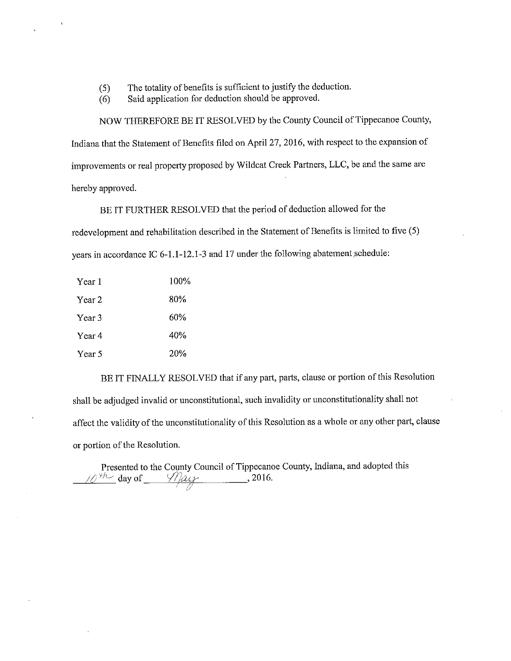- $(5)$  The totality of benefits is sufficient to justify the deduction.
- (6) Said application for deduction should be approved.

NOW THEREFORE BE IT RESOLVED by the County Council of Tippecanoe County, Indiana that the Statement of Benefits filed on April 27, 2016, with respect to the expansion of improvements or real property proposed by Wildcat Creek Partners, LLC, be and the same are hereby approved.

BE IT FURTHER RESOLVED that the period of deduction allowed for the redevelopment and rehabilitation described in the Statement of Benefits is limited to five (5) years in accordance IC 6-1.1-12.1-3 and 17 under the following abatement schedule:

| Year 1 | 100% |
|--------|------|
| Year 2 | 80%  |
| Year 3 | 60%  |
| Year 4 | 40%  |
| Year 5 | 20%  |

BE IT FINALLY RESOLVED that if any part, parts, clause or portion of this Resolution shall be adjudged invalid or unconstitutional, such invalidity or unconstitutionality shall not affect the validity of the unconstitutionality of this Resolution as a whole or any other part, clause or portion of the Resolution.

Presented to the County Council of Tippecanoe County, Indiana, and adopted this  $10^{9h}$  day of  $\frac{1}{2}$   $\frac{1}{2}$  , 2016.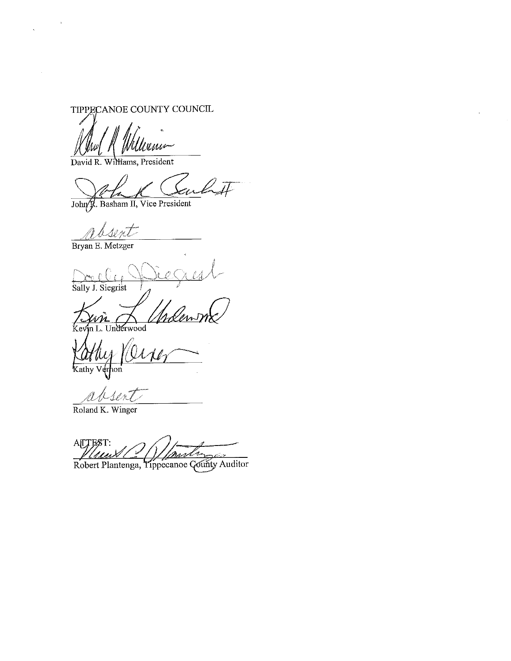TIPPECANOE COUNTY COUNCIL

'umr

David R. Williams, President

John J. Basham II, Vice President

10 nt

Bryan E. Metzger

Sally J. Siegrist

Underwood Ke

are Kathy Verhon

apser

Roland K. Winger

AITEST: <u>hm</u> -nhaaA

Robert Plantenga, Tippecanoe County Auditor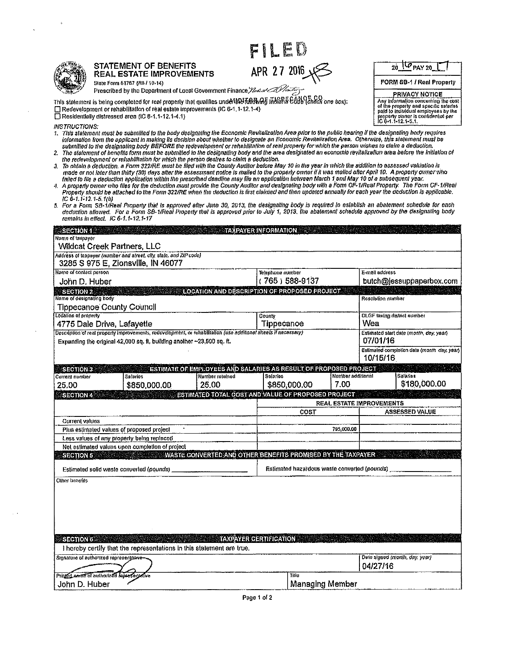| F | i<br>Si | L | EM |  |
|---|---------|---|----|--|
|---|---------|---|----|--|

APR 27 2016

| L.<br>I |
|---------|
|         |

#### **STATEMENT OF BENEFITS REAL ESTATE IMPROVEMENTS**

State Form 51767 (RB / 10-14) Prescribed by the Department of Local Government Finance Yuse of COVID-Ty-

This statement is being completed for real property that qualities under the KARWAE IAUBRE CODE (Check one box): □ Redevelopment or rehabilitation of real estate improvements (IC 6-1.1-12.1-4) □ Residentially distressed area (IC 6-1.1-12.1-4.1)

FORM SB-1 / Real Property **PRIVACY NOTICE** Any information concerning the cost<br>of the property and specific salaries<br>of the property and specific salaries<br>property owner is contidented per<br> $10^{\circ}$  of  $-1$ -12.1-5.1.

 $20$   $\sqrt{6}$  PAY 20

**INSTRUCTIONS:** 

- .<br>This statement must be submilied to the body designating the Economic Revitalization Area prior to the public hearing if the designating body requires 1. information from the applicant in making its decision about whether to designate an Economic Revitalization Area. Otherwise, this statement must be submilled to the designating body BEFORE the redevelopment or rehabilitation of real property for which the person wishes to claim a deduction.
- The statement of benefits form must be submitted to the designating body and the area designated an economic revitalization area before the initiation of  $\mathbf{2}$ the redevelopment or rehabilitation for which the person desires to claim a deduction.<br>To obtain a deduction, a Form 322/RE must be flied with the County Auditor before May 10 in the year in which the addition to assessed
- $\mathbf{3}$ made or not later than thirty (30) days after the assessinant notice is malled to the property owner if it was malled after April 10. A property owner who failed to file a deduction application within the prescribed deadline may file an application between March 1 and May 10 of a subsequent year.
- a. A property owner who files for the deduction must provide the County Auditor and designating body with a Form CF-1/Real Property. The Form CF-1/Real Property. The Form CF-1/Real Property should be attached to the County  $IC$  6-1.1-12.1-5.1(b)
- For a Form SB-1/Real Property that is approved after June 30, 2013, the designating body is required to establish an abatement schedule for each K, deduction allowed. For a Form SB-1/Real Property that is approved prior to July 1, 2013. The abatement schedule approved by the designating body remains in effect. IC 6-1.1-12.1-17

| $\sim$ Section 1. $\sim$ 3. $\sim$ 3. $\sim$             |                                                                                                                  |                                                                   | $\sim$ TAXPAYER INFORMATION $\sim$ 300 $\sim$ |                                              |                                 |                   |                                             |
|----------------------------------------------------------|------------------------------------------------------------------------------------------------------------------|-------------------------------------------------------------------|-----------------------------------------------|----------------------------------------------|---------------------------------|-------------------|---------------------------------------------|
| Name of laxoayer<br><b>Wildcat Creek Partners, LLC</b>   |                                                                                                                  |                                                                   |                                               |                                              |                                 |                   |                                             |
|                                                          | Address of taxpayer (number and street, city, stale, and ZIP code)                                               |                                                                   |                                               |                                              |                                 |                   |                                             |
| 3285 S 975 E, Zionsville, IN 46077                       |                                                                                                                  |                                                                   |                                               |                                              |                                 |                   |                                             |
| Name of contact person                                   |                                                                                                                  |                                                                   | Telephone number                              |                                              |                                 | E-mail address    |                                             |
| John D. Huber                                            |                                                                                                                  |                                                                   |                                               | (765) 588-9137                               |                                 |                   | butch@jessuppaperbox.com                    |
| <b>SECTION 2</b>                                         |                                                                                                                  | LOCATION AND DESCRIPTION OF PROPOSED PROJECT.                     |                                               |                                              |                                 |                   |                                             |
| Name of designating body                                 |                                                                                                                  |                                                                   |                                               |                                              |                                 | Resolution number |                                             |
| <b>Tippecanoe County Council</b><br>Location of property |                                                                                                                  |                                                                   | County                                        |                                              |                                 |                   | <b>OLGF taxing district number</b>          |
| 4775 Dale Drive, Lafayette                               |                                                                                                                  |                                                                   | Tippecanoe                                    |                                              |                                 | Wea               |                                             |
|                                                          | Description of real property improvements, redevelopment, or rehabilitation (use additional sheets if necessary) |                                                                   |                                               |                                              |                                 |                   | Estimated start date (month, day, year)     |
|                                                          | Expanding the original 42,000 sq. ft, building another ~23,500 sq. ft.                                           |                                                                   |                                               |                                              |                                 | 07/01/16          |                                             |
|                                                          |                                                                                                                  |                                                                   |                                               |                                              |                                 | 10/15/16          | Estimated completion date (month day, year) |
| <b>SECTION 3</b>                                         |                                                                                                                  | ESTIMATE OF EMPLOYEES AND SALARIES AS RESULT OF PROPOSED PROJECT. |                                               |                                              |                                 |                   |                                             |
| Current number                                           | <b>Salaries</b>                                                                                                  | Number retained                                                   | Sularios                                      |                                              | Number additional               |                   | Salarios                                    |
| 25.00                                                    | \$850,000,00                                                                                                     | 25.00                                                             |                                               | \$850,000,00                                 | 7.00                            |                   | \$180,000.00                                |
| <b>SECTION 4</b>                                         |                                                                                                                  | ESTIMATED TOTAL COST AND VALUE OF PROPOSED PROJECT                |                                               |                                              |                                 |                   |                                             |
|                                                          |                                                                                                                  |                                                                   |                                               | COST                                         | <b>REAL ESTATE IMPROVEMENTS</b> |                   | <b>ASSESSED VALUE</b>                       |
| <b>Current values</b>                                    |                                                                                                                  |                                                                   |                                               |                                              |                                 |                   |                                             |
| Plus estimated values of proposed project                |                                                                                                                  |                                                                   |                                               |                                              | 795,000,00                      |                   |                                             |
| Less values of any property being replaced               |                                                                                                                  |                                                                   |                                               |                                              |                                 |                   |                                             |
|                                                          | Net estimated values upon completion of project                                                                  |                                                                   |                                               |                                              |                                 |                   |                                             |
| <b>SECTION 5</b>                                         |                                                                                                                  | WASTE CONVERTED AND OTHER BENEFITS PROMISED BY THE TAXPAYER       |                                               |                                              |                                 |                   |                                             |
| Estimated solid waste converted (pounds)                 |                                                                                                                  |                                                                   |                                               | Estimated hazardous waste converted (pounds) |                                 |                   |                                             |
| Other benefits                                           |                                                                                                                  |                                                                   |                                               |                                              |                                 |                   |                                             |
|                                                          |                                                                                                                  |                                                                   |                                               |                                              |                                 |                   |                                             |
|                                                          |                                                                                                                  |                                                                   |                                               |                                              |                                 |                   |                                             |
|                                                          |                                                                                                                  |                                                                   |                                               |                                              |                                 |                   |                                             |
|                                                          |                                                                                                                  |                                                                   |                                               |                                              |                                 |                   |                                             |
|                                                          |                                                                                                                  |                                                                   |                                               |                                              |                                 |                   |                                             |
|                                                          |                                                                                                                  |                                                                   |                                               |                                              |                                 |                   |                                             |
| <b>SECTION 6</b>                                         | I hereby certify that the representations in this statement are true.                                            |                                                                   | <b>TAXPAYER CERTIFICATION</b>                 |                                              |                                 |                   |                                             |
| Signature of authorized representative                   |                                                                                                                  |                                                                   |                                               |                                              |                                 |                   | Date signed (month, day, year)              |
|                                                          |                                                                                                                  |                                                                   |                                               |                                              |                                 | 04/27/16          |                                             |
| Printed partie of authorized representative              |                                                                                                                  |                                                                   |                                               | Tile                                         |                                 |                   |                                             |
| John D. Huber                                            |                                                                                                                  |                                                                   |                                               | <b>Managing Member</b>                       |                                 |                   |                                             |
|                                                          |                                                                                                                  |                                                                   |                                               |                                              |                                 |                   |                                             |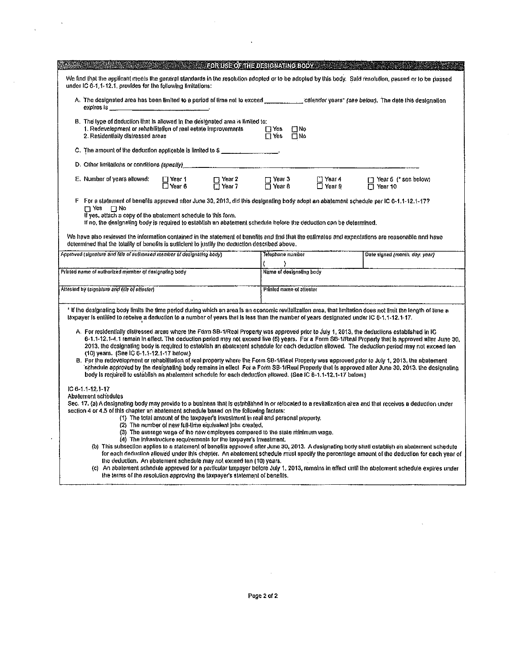|                                                                                                                                                                                                                                                                                                                 | <b>FORUSE OF THE DESIGNATING BODY:</b>                                                                                                                                                                                                                                                                                                                                                                                                                    |                                              |                                |                                                                                                                                                                                                                                                                                                                                                                                                                                                                                                                                                                                                                                                                                                                                                            |
|-----------------------------------------------------------------------------------------------------------------------------------------------------------------------------------------------------------------------------------------------------------------------------------------------------------------|-----------------------------------------------------------------------------------------------------------------------------------------------------------------------------------------------------------------------------------------------------------------------------------------------------------------------------------------------------------------------------------------------------------------------------------------------------------|----------------------------------------------|--------------------------------|------------------------------------------------------------------------------------------------------------------------------------------------------------------------------------------------------------------------------------------------------------------------------------------------------------------------------------------------------------------------------------------------------------------------------------------------------------------------------------------------------------------------------------------------------------------------------------------------------------------------------------------------------------------------------------------------------------------------------------------------------------|
| under IC 6-1, 1-12.1, provides for the following limitations:                                                                                                                                                                                                                                                   |                                                                                                                                                                                                                                                                                                                                                                                                                                                           |                                              |                                | We find that the applicant meets the general standards in the resolution adopted or to be adopted by this body. Said resolution, passed or to be passed                                                                                                                                                                                                                                                                                                                                                                                                                                                                                                                                                                                                    |
| expires is the contract of the contract of the contract of the contract of the contract of the contract of the                                                                                                                                                                                                  |                                                                                                                                                                                                                                                                                                                                                                                                                                                           |                                              |                                | A. The designated area has been limited to a period of time not to exceed contact the calendar years' (see below). The date this designation                                                                                                                                                                                                                                                                                                                                                                                                                                                                                                                                                                                                               |
| B. The type of deduction that is allowed in the designated area is limited to:<br>1. Redevelopment or rehabilitation of real estate improvements<br>2. Residentially distressed areas                                                                                                                           |                                                                                                                                                                                                                                                                                                                                                                                                                                                           | $\Box$ Yes $\Box$ No<br>$\Box$ Yes $\Box$ No |                                |                                                                                                                                                                                                                                                                                                                                                                                                                                                                                                                                                                                                                                                                                                                                                            |
| C. The amount of the deduction applicable is limited to \$                                                                                                                                                                                                                                                      |                                                                                                                                                                                                                                                                                                                                                                                                                                                           |                                              |                                |                                                                                                                                                                                                                                                                                                                                                                                                                                                                                                                                                                                                                                                                                                                                                            |
| D. Other limitations or conditions (spectly) ___________________________________                                                                                                                                                                                                                                |                                                                                                                                                                                                                                                                                                                                                                                                                                                           |                                              |                                |                                                                                                                                                                                                                                                                                                                                                                                                                                                                                                                                                                                                                                                                                                                                                            |
| E. Number of years allowed:                                                                                                                                                                                                                                                                                     | U Year 1 Vear 2 U Year 3<br>□ Year 6 U Year 7 U Year 8                                                                                                                                                                                                                                                                                                                                                                                                    |                                              | $\Box$ Year 4<br>$\Box$ Year 9 | Year 5 (' see below)<br>$\Box$ Year 10                                                                                                                                                                                                                                                                                                                                                                                                                                                                                                                                                                                                                                                                                                                     |
| $\Box$ Yes $\Box$ No<br>If yes, attach a copy of the abatement schedule to this form.<br>If no, the designating body is required to establish an abatement schedule before the deduction can be determined.<br>determined that the totality of benefits is sufficient to justify the deduction described above. |                                                                                                                                                                                                                                                                                                                                                                                                                                                           |                                              |                                | F For a statement of benefils approved after June 30, 2013, did this designating body adopt an abatement schedule per IC 6-1,1-12,1-17?<br>We have also reviewed the information contained in the statement of benefits and find that the estimates and expectations are reasonable and have                                                                                                                                                                                                                                                                                                                                                                                                                                                               |
| Approved (signature and fille of authonzed member of designating body)                                                                                                                                                                                                                                          |                                                                                                                                                                                                                                                                                                                                                                                                                                                           | Telephone number                             |                                | Date signed (month, day, year)                                                                                                                                                                                                                                                                                                                                                                                                                                                                                                                                                                                                                                                                                                                             |
| Printen name of authorized member of designating body                                                                                                                                                                                                                                                           |                                                                                                                                                                                                                                                                                                                                                                                                                                                           | ١.<br>Name of designating body               |                                |                                                                                                                                                                                                                                                                                                                                                                                                                                                                                                                                                                                                                                                                                                                                                            |
| Attested by (signeture and title of attester)                                                                                                                                                                                                                                                                   |                                                                                                                                                                                                                                                                                                                                                                                                                                                           | Printed name of attester                     |                                |                                                                                                                                                                                                                                                                                                                                                                                                                                                                                                                                                                                                                                                                                                                                                            |
|                                                                                                                                                                                                                                                                                                                 |                                                                                                                                                                                                                                                                                                                                                                                                                                                           |                                              |                                |                                                                                                                                                                                                                                                                                                                                                                                                                                                                                                                                                                                                                                                                                                                                                            |
| laxpayer is enlilled to receive a deduction to a number of years that is less than the number of years designated under IC 6-1.1-12.1-17.                                                                                                                                                                       |                                                                                                                                                                                                                                                                                                                                                                                                                                                           |                                              |                                | * If the designating body limits the time period during which an area is an economic revitalization area, that limitation does not limit the length of lime a                                                                                                                                                                                                                                                                                                                                                                                                                                                                                                                                                                                              |
| (10) years. (See IC 6-1.1-12.1-17 below.)<br>body is required to establish an abalement schedule for each deduction allowed. (See IC 6-1.1-12,1-17 below.)                                                                                                                                                      |                                                                                                                                                                                                                                                                                                                                                                                                                                                           |                                              |                                | A. For residentially distressed areas where the Form SB-1/Real Property was approved prior to July 1, 2013, the deductions established in IC<br>6-1.1-12.1-4.1 remain in effect. The deduction period may not exceed live (5) years. For a Form SB-1/Real Property that is approved after June 30,<br>2013, the designating body is required to establish an abatement schedule for each deduction allowed. The deduction period may not exceed ten<br>B. For the redevelopment or rehabilitation of real property where the Form SB-1/Real Property was approved prior to July 1, 2013, the abatement<br>schedule approved by the designating body remains in effect. For a Form SB-1/Real Property that is approved after June 30, 2013, the designating |
| $IC 6-1.1-12.3-17$<br>Abatement schedules<br>section 4 or 4.5 of this chapter an abatement schedule based on the following factors:                                                                                                                                                                             | (1) The total amount of the taxpayer's investment in real and personal property.<br>(2) The number of new full-lime equivalent jobs created.<br>(3) The average wage of the new employees compared to the state minimum wage.<br>(4) The intrastructure requirements for the taxpayer's investment.<br>the deduction. An abatement schedule may not exceed ten (10) years.<br>the terms of the resolution approving the taxpayer's statement of benefits. |                                              |                                | Sec. 17, (a) A designating body may provide to a business that is established in or retocated to a revitalization area and that receives a deduction under<br>(b) This subsection applies to a statement of benefits approved after June 30, 2013. A designating body shall establish an abatement schedule<br>for each deduction allowed under this chapter. An abatement schedule must specify the percentage amount of the deduction for each year of<br>(c) An abalement schedule approved for a particular taxpayer before July 1, 2013, remains in effect until the abalement schedule expires under                                                                                                                                                 |

 $\sim$   $\sim$ 

 $\hat{\mathcal{A}}$  ,  $\hat{\mathcal{A}}$ 

 $\epsilon$ 

 $\mathbf{r}$ 

 $\sim$   $\sim$ 

 $\mathcal{A}$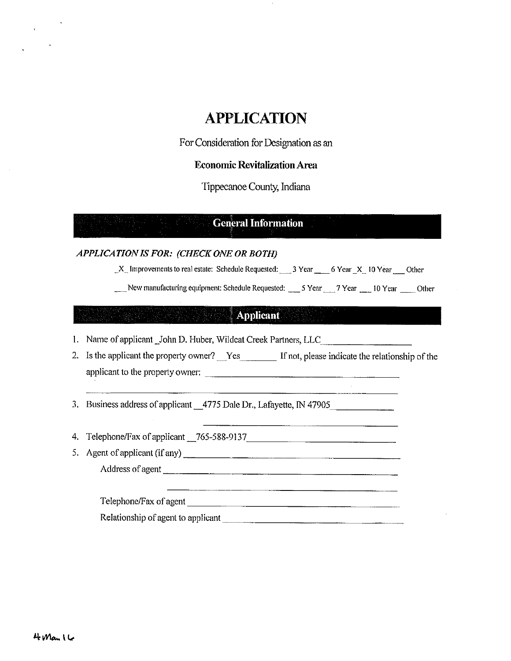# APPLICATION

For Consideration for Designation as an

### Economic Revitalization Area

Tippecanoe County, Indiana

## **General Information**

### APPLICATION IS FOR: (CHECK ONE OR BOTH)

 $X_$  Improvements to real estate: Schedule Requested:  $3$  Year 6 Year X 10 Year 0ther

New manufacturing equipment: Schedule Requested: \_\_\_ 5 Year 7 Year 10 Year Other

### Applicant

1. Name of applicant John D. Huber, Wildcat Creek Partners, LLC

2. Is the applicant the property owner? \_\_Yes \_\_\_\_\_\_\_\_ If not, please indicate the relationship of the applicant to the property owner:

3. Business address of applicant \_\_4775 Dale Dr., Lafayette, IN 47905

Telephone/Fax of applicant \_765-588-9137 4.

5. Agent of applicant (if any)

Address of agent

Telephone/Fax ofagent

Relationship of agent to applicant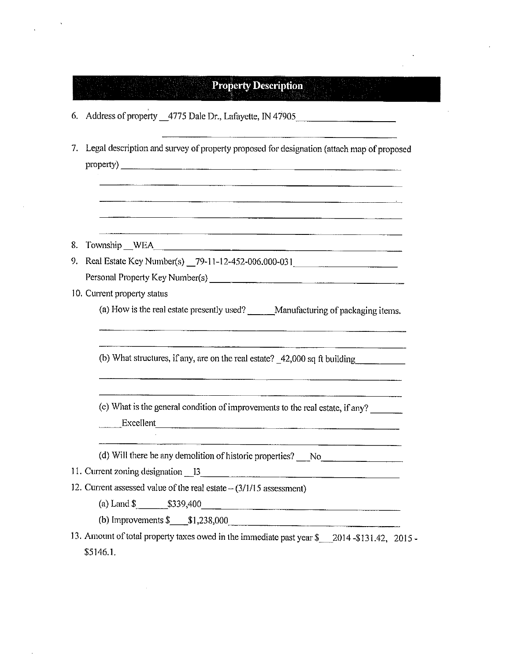| 6. Address of property _4775 Dale Dr., Lafayette, IN 47905<br><u> 1989 - Jan Barat, Amerikaansk politiker (* 1908)</u><br>7. Legal description and survey of property proposed for designation (attach map of proposed<br>, kao amin'ny faritr'i Normandie, ao amin'ny faritr'i Normandie, ao Frantsa.<br>Ny INSEE dia mampiasa ny kaodim-paositra 64149.<br>I Gérard Marine no ben'ny tanàna mandritry ny taona 2008–2014. Ilay kaominina dia kaominina mpik<br>8. Township WEA<br>9. Real Estate Key Number(s) _79-11-12-452-006.000-031 |  |
|--------------------------------------------------------------------------------------------------------------------------------------------------------------------------------------------------------------------------------------------------------------------------------------------------------------------------------------------------------------------------------------------------------------------------------------------------------------------------------------------------------------------------------------------|--|
|                                                                                                                                                                                                                                                                                                                                                                                                                                                                                                                                            |  |
|                                                                                                                                                                                                                                                                                                                                                                                                                                                                                                                                            |  |
|                                                                                                                                                                                                                                                                                                                                                                                                                                                                                                                                            |  |
|                                                                                                                                                                                                                                                                                                                                                                                                                                                                                                                                            |  |
|                                                                                                                                                                                                                                                                                                                                                                                                                                                                                                                                            |  |
|                                                                                                                                                                                                                                                                                                                                                                                                                                                                                                                                            |  |
| 10. Current property status<br>(a) How is the real estate presently used? ______Manufacturing of packaging items.                                                                                                                                                                                                                                                                                                                                                                                                                          |  |
| (b) What structures, if any, are on the real estate? _42,000 sq ft building                                                                                                                                                                                                                                                                                                                                                                                                                                                                |  |
| (c) What is the general condition of improvements to the real estate, if any?<br>Excellent                                                                                                                                                                                                                                                                                                                                                                                                                                                 |  |
| (d) Will there be any demolition of historic properties? No No Community of the same set of No Community of the same set of No Community of the same set of No Community of the set of No Community of No Community of No Comm                                                                                                                                                                                                                                                                                                             |  |
| 11. Current zoning designation 13                                                                                                                                                                                                                                                                                                                                                                                                                                                                                                          |  |
| 12. Current assessed value of the real estate $-(3/1/15$ assessment)                                                                                                                                                                                                                                                                                                                                                                                                                                                                       |  |
| (a) Land $\frac{\$339,400}{}$                                                                                                                                                                                                                                                                                                                                                                                                                                                                                                              |  |
| (b) Improvements $\frac{\$ 1,238,000}$<br>13. Amount of total property taxes owed in the immediate past year \$ 2014-\$131.42, 2015 -                                                                                                                                                                                                                                                                                                                                                                                                      |  |

 $\label{eq:2.1} \frac{1}{\sqrt{2}}\int_{\mathbb{R}^3}\frac{1}{\sqrt{2}}\left(\frac{1}{\sqrt{2}}\right)^2\frac{1}{\sqrt{2}}\left(\frac{1}{\sqrt{2}}\right)^2\frac{1}{\sqrt{2}}\left(\frac{1}{\sqrt{2}}\right)^2\frac{1}{\sqrt{2}}\left(\frac{1}{\sqrt{2}}\right)^2\frac{1}{\sqrt{2}}\left(\frac{1}{\sqrt{2}}\right)^2\frac{1}{\sqrt{2}}\frac{1}{\sqrt{2}}\frac{1}{\sqrt{2}}\frac{1}{\sqrt{2}}\frac{1}{\sqrt{2}}\frac{1}{\sqrt{2}}$ 

 $\mathcal{A}^{\mathcal{A}}$ 

 $\label{eq:1} \frac{1}{\sqrt{2\pi}}\int_{0}^{\infty}\frac{1}{\sqrt{2\pi}}\left|\frac{d\mathbf{x}}{d\mathbf{x}}\right|^{2}dx$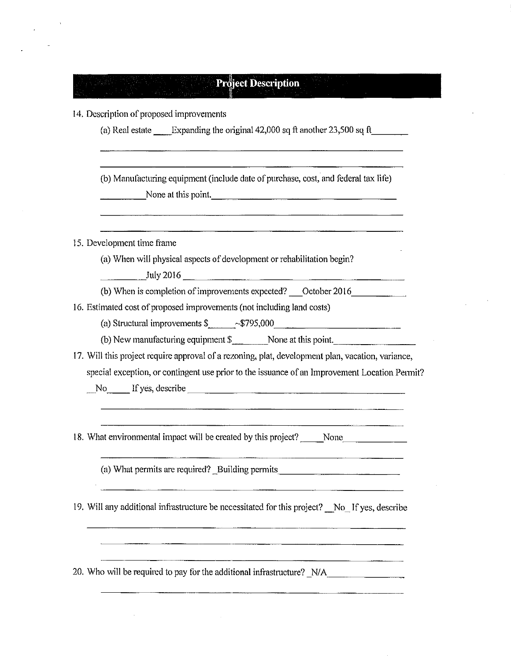| 14. Description of proposed improvements<br>(a) Real estate $\qquad$ Expanding the original 42,000 sq ft another 23,500 sq ft                                                                                                    |  |
|----------------------------------------------------------------------------------------------------------------------------------------------------------------------------------------------------------------------------------|--|
| (b) Manufacturing equipment (include date of purchase, cost, and federal tax life)<br>None at this point.<br><u> 1980 - Andrea San Andrea San Andrea San Andrea San Andrea San Andrea San Andrea San Andrea San Andrea San A</u> |  |
| 15. Development time frame                                                                                                                                                                                                       |  |
| (a) When will physical aspects of development or rehabilitation begin?<br>$\frac{\text{July }2016}{}$                                                                                                                            |  |
| (b) When is completion of improvements expected? Cotober 2016                                                                                                                                                                    |  |
| 16. Estimated cost of proposed improvements (not including land costs)                                                                                                                                                           |  |
| (a) Structural improvements $\frac{2}{100}$ ~\$795,000                                                                                                                                                                           |  |
|                                                                                                                                                                                                                                  |  |
| 17. Will this project require approval of a rezoning, plat, development plan, vacation, variance,                                                                                                                                |  |
| special exception, or contingent use prior to the issuance of an Improvement Location Permit?                                                                                                                                    |  |
| 18. What environmental impact will be created by this project? _____None_________                                                                                                                                                |  |
| (a) What permits are required? Building permits ________________________________                                                                                                                                                 |  |
| 19. Will any additional infrastructure be necessitated for this project? No If yes, describe                                                                                                                                     |  |
|                                                                                                                                                                                                                                  |  |
|                                                                                                                                                                                                                                  |  |

 $\sim 10^{-1}$ 

 $\alpha$ 

 $\sim 10^7$ 

 $\hat{\boldsymbol{\theta}}$ 

 $\label{eq:1} \frac{1}{\sqrt{2\pi}}\int_{0}^{\pi} \frac{1}{\sqrt{2\pi}}\left(\frac{1}{\sqrt{2\pi}}\right)^{2\pi} \frac{1}{\sqrt{2\pi}}\,d\mu$ 

 $\frac{1}{2}$  ,  $\frac{1}{2}$ 

 $\hat{\mathcal{L}}$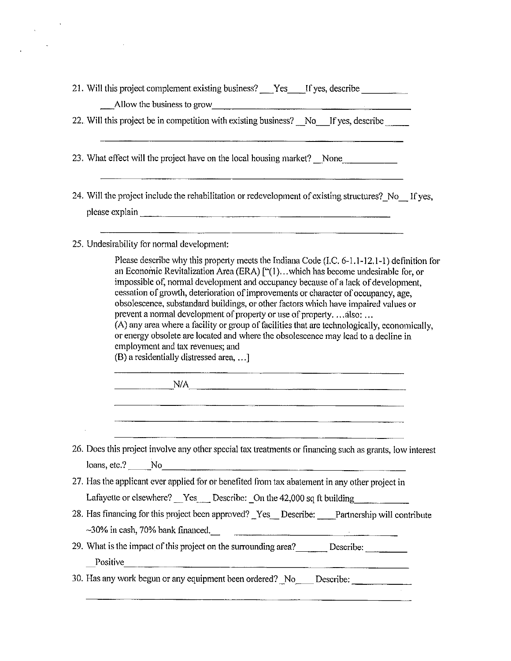|                                                                            | 21. Will this project complement existing business? Fest Figures, describe<br>Allow the business to grow                                                                                                                                                                                                                                                                                                                                                                                                                                                                                                                                                                                                             |
|----------------------------------------------------------------------------|----------------------------------------------------------------------------------------------------------------------------------------------------------------------------------------------------------------------------------------------------------------------------------------------------------------------------------------------------------------------------------------------------------------------------------------------------------------------------------------------------------------------------------------------------------------------------------------------------------------------------------------------------------------------------------------------------------------------|
|                                                                            | 22. Will this project be in competition with existing business? No If yes, describe                                                                                                                                                                                                                                                                                                                                                                                                                                                                                                                                                                                                                                  |
|                                                                            | <u> 1980 - Jan James James Sandarík (f. 1980)</u><br>23. What effect will the project have on the local housing market? None                                                                                                                                                                                                                                                                                                                                                                                                                                                                                                                                                                                         |
|                                                                            | 24. Will the project include the rehabilitation or redevelopment of existing structures? No If yes,                                                                                                                                                                                                                                                                                                                                                                                                                                                                                                                                                                                                                  |
| 25. Undesirability for normal development:                                 |                                                                                                                                                                                                                                                                                                                                                                                                                                                                                                                                                                                                                                                                                                                      |
| employment and tax revenues; and<br>(B) a residentially distressed area, ] | Please describe why this property meets the Indiana Code (I.C. 6-1.1-12.1-1) definition for<br>an Economic Revitalization Area (ERA) ["(1)which has become undesirable for, or<br>impossible of, normal development and occupancy because of a lack of development,<br>cessation of growth, deterioration of improvements or character of occupancy, age,<br>obsolescence, substandard buildings, or other factors which have impaired values or<br>prevent a normal development of property or use of property.  also:<br>(A) any area where a facility or group of facilities that are technologically, economically,<br>or energy obsolete are located and where the obsolescence may lead to a decline in<br>N/A |
|                                                                            |                                                                                                                                                                                                                                                                                                                                                                                                                                                                                                                                                                                                                                                                                                                      |
|                                                                            |                                                                                                                                                                                                                                                                                                                                                                                                                                                                                                                                                                                                                                                                                                                      |
|                                                                            | 26. Does this project involve any other special tax treatments or financing such as grants, low interest<br>$\lambda$ loans, etc.? $\lambda$ No $\lambda$                                                                                                                                                                                                                                                                                                                                                                                                                                                                                                                                                            |
|                                                                            | 27. Has the applicant ever applied for or benefited from tax abatement in any other project in                                                                                                                                                                                                                                                                                                                                                                                                                                                                                                                                                                                                                       |
|                                                                            | Lafayette or clsewhere? <u>Yes</u> Describe: On the 42,000 sq ft building<br>28. Has financing for this project been approved? Yes Describe: Partnership will contribute                                                                                                                                                                                                                                                                                                                                                                                                                                                                                                                                             |
|                                                                            | $\sim$ 30% in cash, 70% bank financed.<br>29. What is the impact of this project on the surrounding area? Describe: Describe:<br>$\Box$ Positive $\Box$                                                                                                                                                                                                                                                                                                                                                                                                                                                                                                                                                              |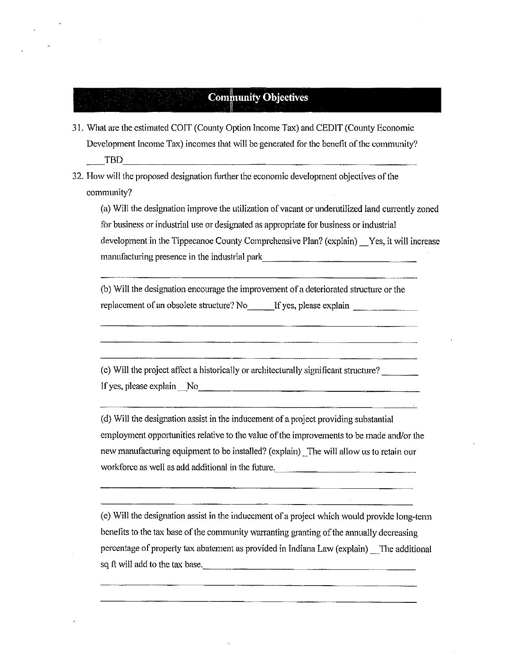# **Community Objectives**

- 31.. What are the estimated COIT (County Option Income Tax) and CEDIT (County Economic Development Income Tax) incomes that will be generated for the benefit of the community? TBD
- 32. How will the proposed designation further the economic development objectives ofthe community?

(a) Will the designation improve the utilization of vacant or underutilized land currently zoned for business or industrial use or designated as appropriate for business or industrial development in the Tippecanoe County Comprehensive Plan? (explain) Yes, it will increase manufacturing presence in the industrial park

(b) Will the designation encourage the improvement of <sup>a</sup> deteriorated structure or the replacement of an obsolete structure? No If yes, please explain

(c) Will the project affect <sup>a</sup> historically or architecturally significant sttucture? If yes, please explain No <u>explainted</u>

(d) Will the designation assist in the inducement of <sup>a</sup> project providing substantial employment opportunities relative to the value ofthe improvements to be made and/or the new manufactuting equipment to be installed? (explain) "The will allow us to retain our workforce as well as add additional in the future,

(e) Will the-designation assist in the inducement of <sup>a</sup> project which would provide long—term benefits to the tax base of the community warranting granting of the annually decreasing percentage of property tax abatement as provided in Indiana Law (explain) The additional sq ft will add to the tax base.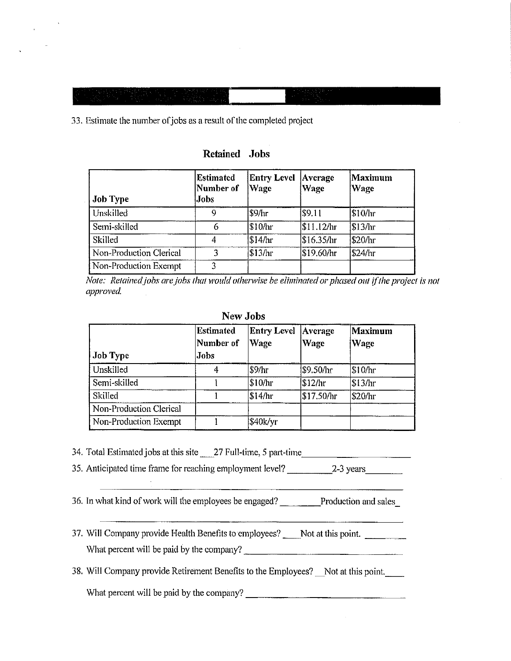33. Estimate the number of jobs as a result of the completed project

| <b>Job Type</b>         | <b>Estimated</b><br>Number of<br>Jobs | <b>Entry Level</b><br>Wage | Average<br><b>Wage</b> | Maximum<br>Wage |
|-------------------------|---------------------------------------|----------------------------|------------------------|-----------------|
| Unskilled               | -9                                    | \$9/hr                     | <b>S</b> 9.11          | \$10/hr         |
| Semi-skilled            |                                       | \$10/hr                    | \$11.12/hr             | \$13/hr         |
| Skilled                 | 4                                     | \$14/hr                    | \$16.35/hr             | \$20/hr         |
| Non-Production Clerical |                                       | \$13/hr                    | \$19.60/hr             | \$24/hr         |
| Non-Production Exempt   | 2                                     |                            |                        |                 |

Retained Jobs

Note: Retained jobs are jobs that would otherwise be eliminated or phased out if the project is not approved

#### New Jobs

| Job Type                | <b>Estimated</b><br>Number of<br>Jobs | <b>Entry Level</b><br>Wage | Average<br>Wage  | Maximum<br>Wage |
|-------------------------|---------------------------------------|----------------------------|------------------|-----------------|
| Unskilled               |                                       | \$9/hr                     | <b>\$9.50/hr</b> | \$10/hr         |
| Semi-skilled            |                                       | \$10/hr                    | \$12/hr          | \$13/hr         |
| Skilled                 |                                       | \$14/hr                    | \$17.50/hr       | \$20/hr         |
| Non-Production Clerical |                                       |                            |                  |                 |
| Non-Production Exempt   |                                       | \$40k/yr                   |                  |                 |

34. Total Estimated jobs at this site 27 Full-time, 5 part-time

35. Anticipated time frame for reaching employment level? 2-3 years

36. In what kind of work will the employees be engaged? Production and sales

37. Will Company provide Health Benefits to employees? Not at this point. What percent will be paid by the company?

38. Will Company provide Retirement Benefits to the Employees? Not at this point.

What percent will be paid by the company?